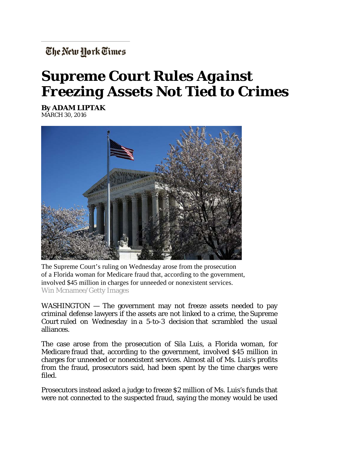## The New York Times

## *Supreme Court Rules Against Freezing Assets Not Tied to Crimes*

**By ADAM LIPTAK**  MARCH 30, 2016



The Supreme Court's ruling on Wednesday arose from the prosecution of a Florida woman for Medicare fraud that, according to the government, involved \$45 million in charges for unneeded or nonexistent services. Win Mcnamee/Getty Images

WASHINGTON – The government may not freeze assets needed to pay criminal defense lawyers if the assets are not linked to a crime, the Supreme Court ruled on Wednesday in a 5-to-3 decision that scrambled the usual alliances.

The case arose from the prosecution of Sila Luis, a Florida woman, for Medicare fraud that, according to the government, involved \$45 million in charges for unneeded or nonexistent services. Almost all of Ms. Luis's profits from the fraud, prosecutors said, had been spent by the time charges were filed.

Prosecutors instead asked a judge to freeze \$2 million of Ms. Luis's funds that were not connected to the suspected fraud, saying the money would be used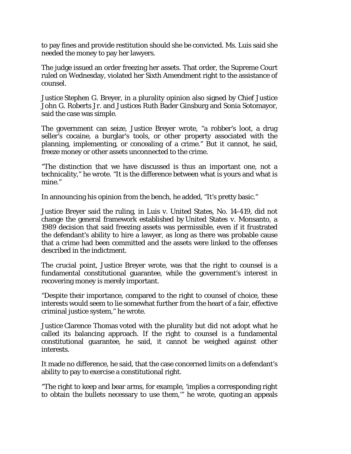to pay fines and provide restitution should she be convicted. Ms. Luis said she needed the money to pay her lawyers.

The judge issued an order freezing her assets. That order, the Supreme Court ruled on Wednesday, violated her Sixth Amendment right to the assistance of counsel.

Justice Stephen G. Breyer, in a plurality opinion also signed by Chief Justice John G. Roberts Jr. and Justices Ruth Bader Ginsburg and Sonia Sotomayor, said the case was simple.

The government can seize, Justice Breyer wrote, "a robber's loot, a drug seller's cocaine, a burglar's tools, or other property associated with the planning, implementing, or concealing of a crime." But it cannot, he said, freeze money or other assets unconnected to the crime.

"The distinction that we have discussed is thus an important one, not a technicality," he wrote. "It is the difference between what is yours and what is mine."

In announcing his opinion from the bench, he added, "It's pretty basic."

Justice Breyer said the ruling, in Luis v. United States, No. 14-419, did not change the general framework established by United States v. Monsanto, a 1989 decision that said freezing assets was permissible, even if it frustrated the defendant's ability to hire a lawyer, as long as there was probable cause that a crime had been committed and the assets were linked to the offenses described in the indictment.

The crucial point, Justice Breyer wrote, was that the right to counsel is a fundamental constitutional guarantee, while the government's interest in recovering money is merely important.

"Despite their importance, compared to the right to counsel of choice, these interests would seem to lie somewhat further from the heart of a fair, effective criminal justice system," he wrote.

Justice Clarence Thomas voted with the plurality but did not adopt what he called its balancing approach. If the right to counsel is a fundamental constitutional guarantee, he said, it cannot be weighed against other interests.

It made no difference, he said, that the case concerned limits on a defendant's ability to pay to exercise a constitutional right.

"The right to keep and bear arms, for example, 'implies a corresponding right to obtain the bullets necessary to use them,'" he wrote, quoting an appeals